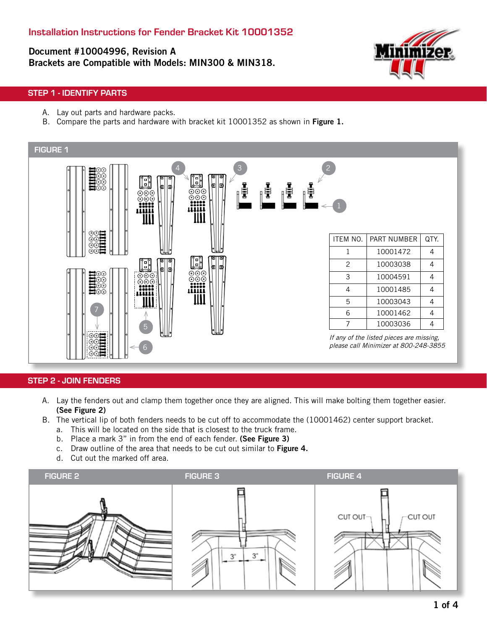Document #10004996, Revision A Brackets are Compatible with Models: MIN300 & MIN318.



### STEP 1 - IDENTIFY PARTS

- A. Lay out parts and hardware packs.
- B. Compare the parts and hardware with bracket kit 10001352 as shown in Figure 1.



#### STEP 2 - JOIN FENDERS

- A. Lay the fenders out and clamp them together once they are aligned. This will make bolting them together easier. (See Figure 2)
- B. The vertical lip of both fenders needs to be cut off to accommodate the (10001462) center support bracket.
	- a. This will be located on the side that is closest to the truck frame.
	- b. Place a mark 3" in from the end of each fender. (See Figure 3)
	- c. Draw outline of the area that needs to be cut out similar to Figure 4.
	- d. Cut out the marked off area.

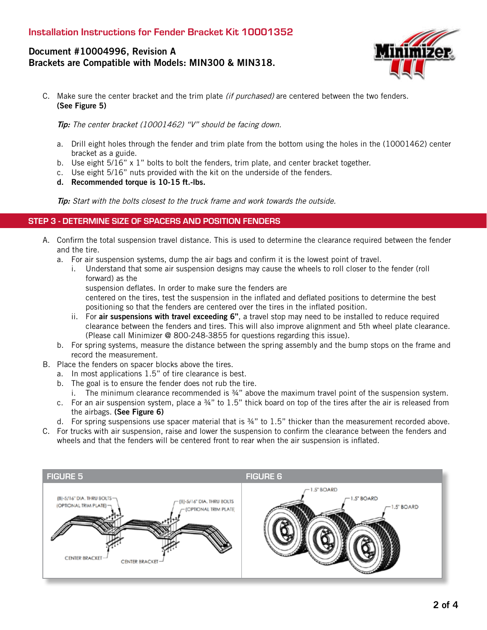# Document #10004996, Revision A Brackets are Compatible with Models: MIN300 & MIN318.



C. Make sure the center bracket and the trim plate *(if purchased)* are centered between the two fenders. (See Figure 5)

Tip: The center bracket (10001462) "V" should be facing down.

- a. Drill eight holes through the fender and trim plate from the bottom using the holes in the (10001462) center bracket as a guide.
- b. Use eight  $5/16$ " x 1" bolts to bolt the fenders, trim plate, and center bracket together.
- c. Use eight 5/16" nuts provided with the kit on the underside of the fenders.
- d. Recommended torque is 10-15 ft.-lbs.

Tip: Start with the bolts closest to the truck frame and work towards the outside.

#### STEP 3 - DETERMINE SIZE OF SPACERS AND POSITION FENDERS

- A. Confirm the total suspension travel distance. This is used to determine the clearance required between the fender and the tire.
	- a. For air suspension systems, dump the air bags and confirm it is the lowest point of travel.
		- i. Understand that some air suspension designs may cause the wheels to roll closer to the fender (roll forward) as the
			- suspension deflates. In order to make sure the fenders are

centered on the tires, test the suspension in the inflated and deflated positions to determine the best positioning so that the fenders are centered over the tires in the inflated position.

- ii. For air suspensions with travel exceeding 6", a travel stop may need to be installed to reduce required clearance between the fenders and tires. This will also improve alignment and 5th wheel plate clearance. (Please call Minimizer @ 800-248-3855 for questions regarding this issue).
- b. For spring systems, measure the distance between the spring assembly and the bump stops on the frame and record the measurement.
- B. Place the fenders on spacer blocks above the tires.
	- a. In most applications 1.5" of tire clearance is best.
	- b. The goal is to ensure the fender does not rub the tire.
		- i. The minimum clearance recommended is ¾" above the maximum travel point of the suspension system.
	- c. For an air suspension system, place a ¾" to 1.5" thick board on top of the tires after the air is released from the airbags. (See Figure 6)
	- d. For spring suspensions use spacer material that is ¾" to 1.5" thicker than the measurement recorded above.
- C. For trucks with air suspension, raise and lower the suspension to confirm the clearance between the fenders and wheels and that the fenders will be centered front to rear when the air suspension is inflated.

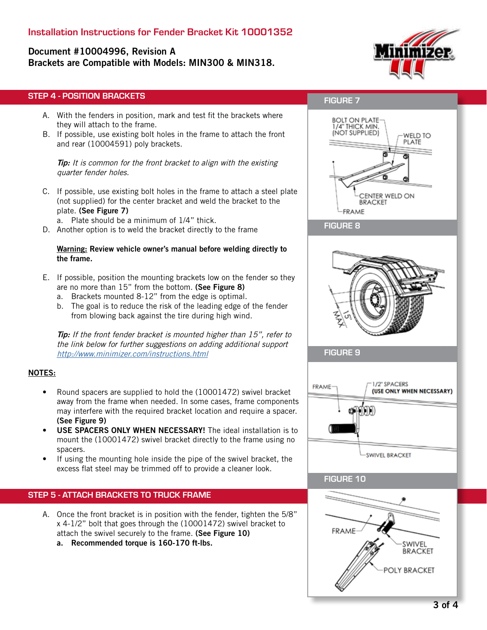# Installation Instructions for Fender Bracket Kit 10001352

# Document #10004996, Revision A

Brackets are Compatible with Models: MIN300 & MIN318.



### STEP 4 - POSITION BRACKETS

- A. With the fenders in position, mark and test fit the brackets where they will attach to the frame.
- B. If possible, use existing bolt holes in the frame to attach the front and rear (10004591) poly brackets.

**Tip:** It is common for the front bracket to align with the existing quarter fender holes.

- C. If possible, use existing bolt holes in the frame to attach a steel plate (not supplied) for the center bracket and weld the bracket to the plate. (See Figure 7)
	- a. Plate should be a minimum of 1/4" thick.
- D. Another option is to weld the bracket directly to the frame

#### Warning: Review vehicle owner's manual before welding directly to the frame.

- E. If possible, position the mounting brackets low on the fender so they are no more than 15" from the bottom. (See Figure 8)
	- a. Brackets mounted 8-12" from the edge is optimal.
	- b. The goal is to reduce the risk of the leading edge of the fender from blowing back against the tire during high wind.

**Tip:** If the front fender bracket is mounted higher than 15", refer to the link below for further suggestions on adding additional support http://www.minimizer.com/instructions.html

#### NOTES:

- Round spacers are supplied to hold the (10001472) swivel bracket away from the frame when needed. In some cases, frame components may interfere with the required bracket location and require a spacer. (See Figure 9)
- USE SPACERS ONLY WHEN NECESSARY! The ideal installation is to mount the (10001472) swivel bracket directly to the frame using no spacers.
- If using the mounting hole inside the pipe of the swivel bracket, the excess flat steel may be trimmed off to provide a cleaner look.

### STEP 5 - ATTACH BRACKETS TO TRUCK FRAME

- A. Once the front bracket is in position with the fender, tighten the 5/8" x 4-1/2" bolt that goes through the (10001472) swivel bracket to attach the swivel securely to the frame. (See Figure 10)
	- a. Recommended torque is 160-170 ft-lbs.

### FIGURE 7





FIGURE 9